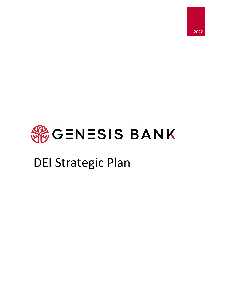

# **SEGENESIS BANK**

## DEI Strategic Plan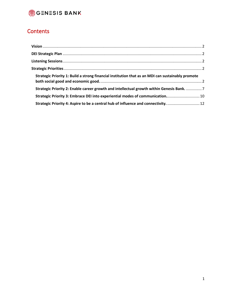

### **Contents**

| Strategic Priority 1: Build a strong financial institution that as an MDI can sustainably promote |  |
|---------------------------------------------------------------------------------------------------|--|
| Strategic Priority 2: Enable career growth and intellectual growth within Genesis Bank.  7        |  |
| Strategic Priority 3: Embrace DEI into experiential modes of communication 10                     |  |
| Strategic Priority 4: Aspire to be a central hub of influence and connectivity.  12               |  |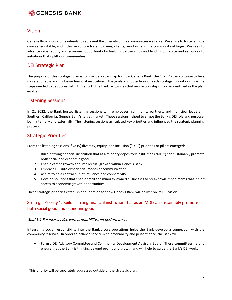

### <span id="page-2-0"></span>Vision

Genesis Bank's workforce intends to represent the diversity of the communities we serve. We strive to foster a more diverse, equitable, and inclusive culture for employees, clients, vendors, and the community at large. We seek to advance racial equity and economic opportunity by building partnerships and lending our voice and resources to initiatives that uplift our communities.

### <span id="page-2-1"></span>DEI Strategic Plan

The purpose of this strategic plan is to provide a roadmap for how Genesis Bank (the "Bank") can continue to be a more equitable and inclusive financial institution. The goals and objectives of each strategic priority outline the steps needed to be successful in this effort. The Bank recognizes that new action steps may be identified as the plan evolves.

### <span id="page-2-2"></span>Listening Sessions

In Q1 2022, the Bank hosted listening sessions with employees, community partners, and municipal leaders in Southern California, Genesis Bank's target market. These sessions helped to shape the Bank's DEI role and purpose, both internally and externally. The listening sessions articulated key priorities and influenced the strategic planning process.

### <span id="page-2-3"></span>Strategic Priorities

From the listening sessions, five (5) diversity, equity, and inclusion ("DEI") priorities or pillars emerged:

- 1. Build a strong financial institution that as a minority depository institution ("MDI") can sustainably promote both social and economic good.
- 2. Enable career growth and intellectual growth within Genesis Bank.
- 3. Embrace DEI into experiential modes of communication.
- 4. Aspire to be a central hub of influence and connectivity.
- 5. Develop solutions that enable small and minority-owned businesses to breakdown impediments that inhibit access to economic growth opportunities.<sup>[1](#page-2-5)</sup>

These strategic priorities establish a foundation for how Genesis Bank will deliver on its DEI vision.

### <span id="page-2-4"></span>Strategic Priority 1: Build a strong financial institution that as an MDI can sustainably promote both social good and economic good.

### Goal 1.1 Balance service with profitability and performance.

Integrating social responsibility into the Bank's core operations helps the Bank develop a connection with the community it serves. In order to balance service with profitability and performance, the Bank will:

• Form a DEI Advisory Committee and Community Development Advisory Board. These committees help to ensure that the Bank is thinking beyond profits and growth and will help to guide the Bank's DEI work.

<span id="page-2-5"></span> $1$  This priority will be separately addressed outside of the strategic plan.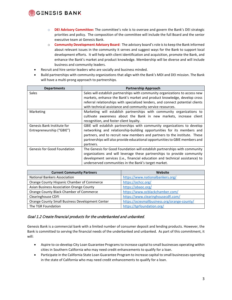### GENESIS BANK

- o **DEI Advisory Committee:** The committee's role is to oversee and govern the Bank's DEI strategic priorities and policy. The composition of the committee will include the full Board and the senior executive team at Genesis Bank.
- o **Community Development Advisory Board**: The advisory board's role is to keep the Bank informed about relevant issues in the community it serves and suggest ways for the Bank to support local development efforts. It will help with client identification and acquisition, promote the Bank, and enhance the Bank's market and product knowledge. Membership will be diverse and will include business and community leaders.
- Recruit and hire senior leaders who are socially and business minded.
- Build partnerships with community organizations that align with the Bank's MDI and DEI mission. The Bank will have a multi-prong approach to partnerships.

| <b>Departments</b>                                      | <b>Partnership Approach</b>                                                                                                                                                                                                                                                                                                  |
|---------------------------------------------------------|------------------------------------------------------------------------------------------------------------------------------------------------------------------------------------------------------------------------------------------------------------------------------------------------------------------------------|
| <b>Sales</b>                                            | Sales will establish partnerships with community organizations to access new<br>markets, enhance the Bank's market and product knowledge, develop cross                                                                                                                                                                      |
|                                                         | referral relationships with specialized lenders, and connect potential clients<br>with technical assistance and community service resources.                                                                                                                                                                                 |
| Marketing                                               | Marketing will establish partnerships with community organizations to<br>cultivate awareness about the Bank in new markets, increase client<br>recognition, and foster client loyalty.                                                                                                                                       |
| Genesis Bank Institute for<br>Entrepreneurship ("GBIE") | GBIE will establish partnerships with community organizations to develop<br>networking and relationship-building opportunities for its members and<br>partners, and to recruit new members and partners to the institute. These<br>partnerships will also provide educational opportunities to GBIE members and<br>partners. |
| <b>Genesis for Good Foundation</b>                      | The Genesis for Good Foundation will establish partnerships with community<br>organizations and will leverage these partnerships to provide community<br>development services (i.e., financial education and technical assistance) to<br>underserved communities in the Bank's target market.                                |

| <b>Current Community Partners</b>               | Website                                      |
|-------------------------------------------------|----------------------------------------------|
| <b>National Bankers Association</b>             | https://www.nationalbankers.org/             |
| Orange County Hispanic Chamber of Commerce      | https://ochcc.org/                           |
| Asian Business Association Orange County        | https://abaoc.org/                           |
| Orange County Black Chamber of Commerce         | https://www.ocblackchamber.com/              |
| <b>Clearinghouse CDFI</b>                       | https://www.clearinghousecdfi.com/           |
| Orange County Small Business Development Center | https://ociesmallbusiness.org/orange-county/ |
| The TGR Foundation                              | https://tgrfoundation.org/                   |

### Goal 1.2 Create financial products for the underbanked and unbanked.

Genesis Bank is a commercial bank with a limited number of consumer deposit and lending products. However, the Bank is committed to serving the financial needs of the underbanked and unbanked. As part of this commitment, it will:

- Aspire to co-develop City Loan Guarantee Programs to increase capital to small businesses operating within cities in Southern California who may need credit enhancements to qualify for a loan.
- Participate in the California State Loan Guarantee Program to increase capital to small businesses operating in the state of California who may need credit enhancements to qualify for a loan.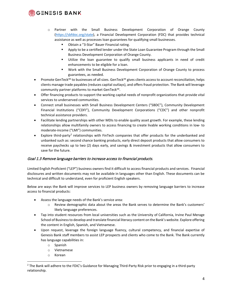### **GENESIS BANK**

- o Partner with the Small Business Development Corporation of Orange County [\(https://sbfdoc.org/state\)](https://sbfdoc.org/state), a Financial Development Corporation (FDC) that provides technical assistance as well as processes loan guarantees for qualifying small businesses.
	- Obtain a "3-Star" Bauer Financial rating.
	- **Apply to be a certified lender under the State Loan Guarantee Program through the Small** Business Development Corporation of Orange County.
	- Utilize the loan guarantee to qualify small business applicants in need of credit enhancements to be eligible for a loan.
	- Work with the Small Business Development Corporation of Orange County to process guarantees, as needed.
- Promote GenTeck<sup>s</sup> to businesses of all sizes. GenTeck<sup>s</sup> gives clients access to account reconciliation, helps clients manage trade payables (reduces capital outlays), and offers fraud protection. The Bank will leverage community partner platforms to market GenTeck℠.
- Offer financing products to support the working capital needs of nonprofit organizations that provide vital services to underserved communities.
- Connect small businesses with Small Business Development Centers ("SBDC"), Community Development Financial Institutions ("CDFI"), Community Development Corporations ("CDC") and other nonprofit technical assistance providers.
- Facilitate lending partnerships with other MDIs to enable quality asset growth. For example, these lending relationships allow multifamily owners to access financing to create livable working conditions in low- to moderate-income ("LMI") communities.
- Explore third-party<sup>[2](#page-4-0)</sup> relationships with FinTech companies that offer products for the underbanked and unbanked such as: second chance banking products, early direct deposit products that allow consumers to receive paychecks up to two (2) days early, and savings & investment products that allow consumers to save for the future.

### Goal 1.3 Remove language barriers to increase access to financial products.

Limited English Proficient ("LEP") business owners find it difficult to access financial products and services. Financial disclosures and written documents may not be available in languages other than English. These documents can be technical and difficult to understand, even for proficient English speakers.

Below are ways the Bank will improve services to LEP business owners by removing language barriers to increase access to financial products:

- Assess the language needs of the Bank's service area:
	- o Review demographic data about the areas the Bank serves to determine the Bank's customers' likely language preferences.
- Tap into student resources from local universities such as the University of California, Irvine Paul Merage School of Business to develop and translate financial literacy content on the Bank's website. Explore offering the content in English, Spanish, and Vietnamese.
- Upon request, leverage the foreign language fluency, cultural competency, and financial expertise of Genesis Bank staff members to assist LEP prospects and clients who come to the Bank. The Bank currently has language capabilities in:
	- o Spanish
	- o Vietnamese
	- o Korean

<span id="page-4-0"></span><sup>&</sup>lt;sup>2</sup> The Bank will adhere to the FDIC's Guidance for Managing Third-Party Risk prior to engaging in a third-party relationship.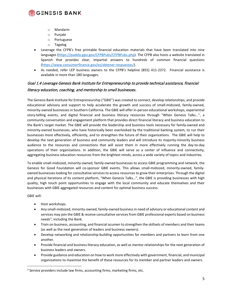

- o Mandarin
- o Punjabi
- o Portuguese
- o Tagalog
- Leverage the CFPB's free printable financial education materials that have been translated into nine languages [\(https://pueblo.gpo.gov/CFPBPubs/CFPBPubs.php\)](https://pueblo.gpo.gov/CFPBPubs/CFPBPubs.php). The CFPB also hosts a website translated in Spanish that provides clear, impartial answers to hundreds of common financial questions [\(https://www.consumerfinance.gov/es/obtener-respuestas/\)](https://www.consumerfinance.gov/es/obtener-respuestas/).
- As needed, refer LEP business owners to the CFPB's helpline (855) 411-2372. Financial assistance is available in more than 180 languages.

### Goal 1.4 Leverage Genesis Bank Institute for Entrepreneurship to provide technical assistance, financial literacy education, coaching, and mentorship to small businesses.

The Genesis Bank Institute for Entrepreneurship ("GBIE") was created to connect, develop relationships, and provide educational advisory and support to help accelerate the growth and success of small-midsized, family-owned, minority-owned businesses in Southern California. The GBIE will offer in-person educational workshops, experiential story-telling events, and digital financial and business literacy resources through "When Genesis Talks…", a community conversation and engagement platform that provides direct financial literacy and business education to the Bank's target market. The GBIE will provide the leadership and business tools necessary for family-owned and minority-owned businesses, who have historically been overlooked by the traditional banking system, to run their businesses more effectively, efficiently, and to strengthen the future of their organizations. The GBIE will help to develop the next generation of business and community leaders and will introduce its majority-minority business audience to the resources and connections that will assist them in more effectively running the day-to-day operations of their organizations. In addition, the GBIE will serve as a center of influence and connectivity, aggregating business education resources from the brightest minds, across a wide variety of topics and industries.

To enable small-midsized, minority-owned, family-owned businesses to access GBIE programming and network, the Genesis for Good Foundation will co-sponsor GBIE events. This allows small-midsized, minority-owned, familyowned businesses looking for consultative services to access resources to grow their enterprises. Through the digital and physical iterations of its content platform, "When Genesis Talks…", the GBIE is providing businesses with high quality, high touch point opportunities to engage with the local community and educate themselves and their businesses with GBIE aggregated resources and content for optimal business success.

GBIE will:

- Host workshops.
- Any small-midsized, minority-owned, family-owned businessin need of advisory or educational content and services may join the GBIE & receive consultative services from GBIE professional experts based on business needs<sup>[3](#page-5-0)</sup>, including the Bank.
- Train on business, accounting, and financial acumen to strengthen the skillsets of members and their teams (as well as the next generation of leaders and business owners).
- Develop networking and relationship-building opportunities for members and partners to learn from one another.
- Provide financial and business literacy education, as well as mentor relationships for the next generation of business leaders and owners.
- Provide guidance and education on how to work more effectively with government, financial, and municipal organizations to maximize the benefit of these resources for its member and partner leaders and owners.

<span id="page-5-0"></span><sup>&</sup>lt;sup>3</sup> Service providers include law firms, accounting firms, marketing firms, etc.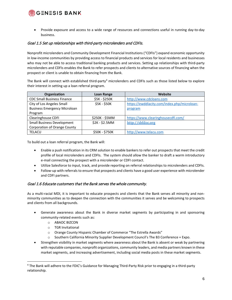### **※GENESIS BANK**

• Provide exposure and access to a wide range of resources and connections useful in running day-to-day business.

### Goal 1.5 Set up relationships with third-party microlenders and CDFIs.

Nonprofit microlenders and Community Development Financial Institutions ("CDFIs") expand economic opportunity in low-income communities by providing access to financial products and services for local residents and businesses who may not be able to access traditional banking products and services. Setting up relationships with third-party microlenders and CDFIs enables the Bank to refer prospects and clients to alternative sources of financing when the prospect or client is unable to obtain financing from the Bank.

The Bank will connect with established third-party<sup>[4](#page-6-0)</sup> microlenders and CDFIs such as those listed below to explore their interest in setting up a loan referral program.

| Organization                        | Loan Range     | Website                                     |
|-------------------------------------|----------------|---------------------------------------------|
| <b>CDC Small Business Finance</b>   | \$5K - \$250K  | http://www.cdcloans.com                     |
| City of Los Angeles Small           | \$5K - \$50K   | https://ewddlacity.com/index.php/microloan- |
| <b>Business Emergency Microloan</b> |                | program                                     |
| Program                             |                |                                             |
| <b>Clearinghouse CDFI</b>           | \$250K - \$5MM | https://www.clearinghousecdfi.com/          |
| <b>Small Business Development</b>   | \$2K - \$2.5MM | http://sbfdoc.org                           |
| <b>Corporation of Orange County</b> |                |                                             |
| <b>TELACU</b>                       | \$50K - \$750K | http://www.telacu.com                       |

To build out a loan referral program, the Bank will:

- Enable a push notification in its CRM solution to enable bankers to refer out prospects that meet the credit profile of local microlenders and CDFIs. The system should allow the banker to draft a warm introductory e-mail connecting the prospect with a microlender or CDFI contact.
- Utilize Salesforce to input, track, and provide reporting on referral relationships to microlenders and CDFIs.
- Follow-up with referrals to ensure that prospects and clients have a good user experience with microlender and CDFI partners.

### Goal 1.6 Educate customers that the Bank serves the whole community.

As a multi-racial MDI, it is important to educate prospects and clients that the Bank serves all minority and nonminority communities as to deepen the connection with the communities it serves and be welcoming to prospects and clients from all backgrounds.

- Generate awareness about the Bank in diverse market segments by participating in and sponsoring community-related events such as:
	- o ABAOC BIZCON
	- o TGR Invitational
	- o Orange County Hispanic Chamber of Commerce "The Estrella Awards"
	- o Southern California Minority Supplier Development Council's The B3 Conference + Expo.
- Strengthen visibility in market segments where awareness about the Bank is absent or weak by partnering with reputable companies, nonprofit organizations, community leaders, and media partners known in these market segments, and increasing advertisement, including social media posts in these market segments.

<span id="page-6-0"></span><sup>4</sup> The Bank will adhere to the FDIC's Guidance for Managing Third-Party Risk prior to engaging in a third-party relationship.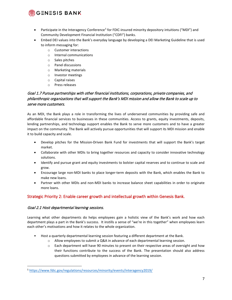### รู้G∃N∃SIS BANK

- Participate in the Interagency Conference<sup>[5](#page-7-1)</sup> for FDIC-insured minority depository intuitions ("MDI") and Community Development Financial Institution ("CDFI") banks.
- Embed DEI values into the Bank's everyday language by developing a DEI Marketing Guideline that is used to inform messaging for:
	- o Customer interactions
	- o Internal communications
	- o Sales pitches
	- o Panel discussions
	- o Marketing materials
	- o Investor meetings
	- o Capital raises
	- o Press releases

### Goal 1.7 Pursue partnerships with other financial institutions, corporations, private companies, and philanthropic organizations that will support the Bank's MDI mission and allow the Bank to scale up to serve more customers.

As an MDI, the Bank plays a role in transforming the lives of underserved communities by providing safe and affordable financial services to businesses in these communities. Access to grants, equity investments, deposits, lending partnerships, and technology support enables the Bank to serve more customers and to have a greater impact on the community. The Bank will actively pursue opportunities that will support its MDI mission and enable it to build capacity and scale.

- Develop pitches for the Mission-Driven Bank Fund for investments that will support the Bank's target market.
- Collaborate with other MDIs to bring together resources and capacity to consider innovative technology solutions.
- Identify and pursue grant and equity investments to bolster capital reserves and to continue to scale and grow.
- Encourage large non-MDI banks to place longer-term deposits with the Bank, which enables the Bank to make new loans.
- Partner with other MDIs and non-MDI banks to increase balance sheet capabilities in order to originate more loans.

### <span id="page-7-0"></span>Strategic Priority 2: Enable career growth and intellectual growth within Genesis Bank.

### Goal 2.1 Host departmental learning sessions.

Learning what other departments do helps employees gain a holistic view of the Bank's work and how each department plays a part in the Bank's success. It instills a sense of "we're in this together" when employees learn each other's motivations and how it relates to the whole organization.

- Host a quarterly departmental learning session featuring a different department at the Bank.
	- o Allow employees to submit a Q&A in advance of each departmental learning session.
	- o Each department will have 90 minutes to present on their respective areas of oversight and how their functions contribute to the success of the Bank. The presentation should also address questions submitted by employees in advance of the learning session.

<span id="page-7-1"></span><sup>5</sup> <https://www.fdic.gov/regulations/resources/minority/events/interagency2019/>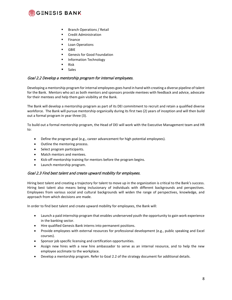

- **Branch Operations / Retail**
- **E** Credit Administration
- **Finance**
- **Loan Operations**
- GBIE
- Genesis for Good Foundation
- **Information Technology**
- $\blacksquare$  Risk
- **Sales**

### Goal 2.2 Develop a mentorship program for internal employees.

Developing a mentorship program for internal employees goes hand in hand with creating a diverse pipeline of talent for the Bank. Mentors who act as both mentors and sponsors provide mentees with feedback and advice, advocate for their mentees and help them gain visibility at the Bank.

The Bank will develop a mentorship program as part of its DEI commitment to recruit and retain a qualified diverse workforce. The Bank will pursue mentorship organically during its first two (2) years of inception and will then build out a formal program in year three (3).

To build out a formal mentorship program, the Head of DEI will work with the Executive Management team and HR to:

- Define the program goal (e.g., career advancement for high potential employees).
- Outline the mentoring process.
- Select program participants.
- Match mentors and mentees.
- Kick-off mentorship training for mentors before the program begins.
- Launch mentorship program.

### Goal 2.3 Find best talent and create upward mobility for employees.

Hiring best talent and creating a trajectory for talent to move up in the organization is critical to the Bank's success. Hiring best talent also means being inclusionary of individuals with different backgrounds and perspectives. Employees from various social and cultural backgrounds will widen the range of perspectives, knowledge, and approach from which decisions are made.

In order to find best talent and create upward mobility for employees, the Bank will:

- Launch a paid internship program that enables underserved youth the opportunity to gain work experience in the banking sector.
- Hire qualified Genesis Bank interns into permanent positions.
- Provide employees with external resources for professional development (e.g., public speaking and Excel courses).
- Sponsor job specific licensing and certification opportunities.
- Assign new hires with a new hire ambassador to serve as an internal resource, and to help the new employee acclimate to the workplace.
- Develop a mentorship program. Refer to Goal 2.2 of the strategy document for additional details.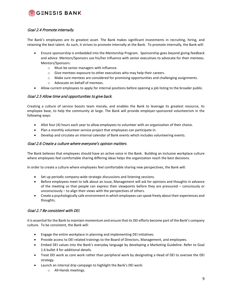### **※GENESIS BANK**

### Goal 2.4 Promote internally.

The Bank's employees are its greatest asset. The Bank makes significant investments in recruiting, hiring, and retaining the best talent. As such, it strives to promote internally at the Bank. To promote internally, the Bank will:

- Ensure sponsorship is embedded into the Mentorship Program. Sponsorship goes beyond giving feedback and advice. Mentors/Sponsors use his/her influence with senior executives to advocate for their mentees. Mentors/Sponsors:
	- o Must be senior managers with influence.
	- o Give mentees exposure to other executives who may help their careers.
	- o Make sure mentees are considered for promising opportunities and challenging assignments.
	- o Advocate on behalf of mentees.
- Allow current employees to apply for internal positions before opening a job listing to the broader public.

### Goal 2.5 Allow time and opportunities to give back.

Creating a culture of service boosts team morale, and enables the Bank to leverage its greatest resource, its employee base, to help the community at large. The Bank will provide employer-sponsored volunteerism in the following ways:

- Allot four (4) hours each year to allow employees to volunteer with an organization of their choice.
- Plan a monthly volunteer service project that employees can participate in.
- Develop and circulate an internal calendar of Bank events which includes volunteering events.

#### Goal 2.6 Create a culture where everyone's opinion matters.

The Bank believes that employees should have an active voice in the Bank. Building an inclusive workplace culture where employees feel comfortable sharing differing ideas helps the organization reach the best decisions.

In order to create a culture where employees feel comfortable sharing new perspectives, the Bank will:

- Set up periodic company-wide strategic discussions and listening sessions.
- Before employees meet to talk about an issue, Management will ask for opinions and thoughts in advance of the meeting so that people can express their viewpoints before they are pressured – consciously or unconsciously – to align their views with the perspectives of others.
- Create a psychologically safe environment in which employees can speak freely about their experiences and thoughts.

### Goal 2.7 Be consistent with DEI.

It is essential for the Bank to maintain momentum and ensure that its DEI efforts become part of the Bank's company culture. To be consistent, the Bank will:

- Engage the entire workplace in planning and implementing DEI initiatives.
- Provide access to DEI related trainings to the Board of Directors, Management, and employees.
- Embed DEI values into the Bank's everyday language by developing a Marketing Guideline. Refer to Goal 1.6 bullet 4 for additional details.
- Treat DEI work as core work rather than peripheral work by designating a Head of DEI to oversee the DEI strategy.
- Launch an internal drip campaign to highlight the Bank's DEI work:
	- o All-Hands meetings.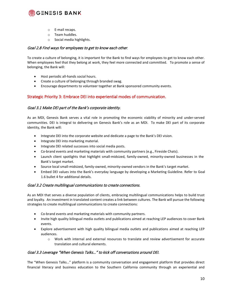

- o E-mail recaps.
- o Team huddles.
- o Social media highlights.

### Goal 2.8 Find ways for employees to get to know each other.

To create a culture of belonging, it is important for the Bank to find ways for employees to get to know each other. When employees feel that they belong at work, they feel more connected and committed. To promote a sense of belonging, the Bank will:

- Host periodic all-hands social hours.
- Create a culture of belonging through branded swag.
- Encourage departments to volunteer together at Bank sponsored community events.

### <span id="page-10-0"></span>Strategic Priority 3: Embrace DEI into experiential modes of communication.

### Goal 3.1 Make DEI part of the Bank's corporate identity.

As an MDI, Genesis Bank serves a vital role in promoting the economic viability of minority and under-served communities. DEI is integral to delivering on Genesis Bank's role as an MDI. To make DEI part of its corporate identity, the Bank will:

- Integrate DEI into the corporate website and dedicate a page to the Bank's DEI vision.
- Integrate DEI into marketing material.
- Integrate DEI related successes into social media posts.
- Co-brand events and marketing materials with community partners (e.g., Fireside Chats).
- Launch client spotlights that highlight small-midsized, family-owned, minority-owned businesses in the Bank's target market.
- Source local small-midsized, family-owned, minority-owned vendors in the Bank's target market.
- Embed DEI values into the Bank's everyday language by developing a Marketing Guideline. Refer to Goal 1.6 bullet 4 for additional details.

#### Goal 3.2 Create multilingual communications to create connections.

As an MDI that serves a diverse population of clients, embracing multilingual communications helps to build trust and loyalty. An investment in translated content creates a link between cultures. The Bank will pursue the following strategies to create multilingual communications to create connections:

- Co-brand events and marketing materials with community partners.
- Invite high quality bilingual media outlets and publications aimed at reaching LEP audiences to cover Bank events.
- Explore advertisement with high quality bilingual media outlets and publications aimed at reaching LEP audiences.
	- o Work with internal and external resources to translate and review advertisement for accurate translation and cultural elements.

### Goal 3.3 Leverage "When Genesis Talks…" to kick off conversations around DEI.

The "When Genesis Talks…" platform is a community conversation and engagement platform that provides direct financial literacy and business education to the Southern California community through an experiential and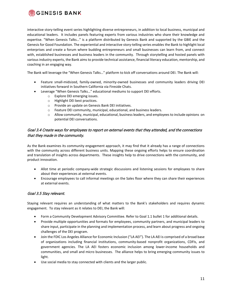

interactive story-telling event series highlighting diverse entrepreneurs, in addition to local business, municipal and educational leaders. It includes panels featuring experts from various industries who share their knowledge and expertise. "When Genesis Talks…" is a platform distributed by Genesis Bank and supported by the GBIE and the Genesis for Good Foundation. The experiential and interactive story-telling series enables the Bank to highlight local enterprises and create a forum where budding entrepreneurs and small businesses can learn from, and connect with, established businesses and business leaders in the community. Through storytelling and hosted panels with various industry experts, the Bank aims to provide technical assistance, financial literacy education, mentorship, and coaching in an engaging way.

The Bank will leverage the "When Genesis Talks…" platform to kick off conversations around DEI. The Bank will:

- Feature small-midsized, family-owned, minority-owned businesses and community leaders driving DEI initiatives forward in Southern California via Fireside Chats.
- Leverage "When Genesis Talks…" educational mediums to support DEI efforts.
	- o Explore DEI emerging issues.
	- o Highlight DEI best practices.
	- o Provide an update on Genesis Bank DEI initiatives.
	- o Feature DEI community, municipal, educational, and business leaders.
	- o Allow community, municipal, educational, business leaders, and employees to include opinions on potential DEI conversations.

### Goal 3.4 Create ways for employees to report on external events that they attended, and the connections that they made in the community.

As the Bank examines its community engagement approach, it may find that it already has a range of connections with the community across different business units. Mapping these ongoing efforts helps to ensure coordination and translation of insights across departments. These insights help to drive connections with the community, and product innovation.

- Allot time at periodic company-wide strategic discussions and listening sessions for employees to share about their experiences at external events.
- Encourage employees to call informal meetings on the Sales floor where they can share their experiences at external events.

### Goal 3.5 Stay relevant.

Staying relevant requires an understanding of what matters to the Bank's stakeholders and requires dynamic engagement. To stay relevant as it relates to DEI, the Bank will:

- Form a Community Development Advisory Committee. Refer to Goal 1.1 bullet 1 for additional details.
- Provide multiple opportunities and formats for employees, community partners, and municipal leaders to share input, participate in the planning and implementation process, and learn about progress and ongoing challenges of the DEI program.
- Join the FDIC Los Angeles Alliance for Economic Inclusion ("LA AEI"). The LA AEI is comprised of a broad base of organizations including financial institutions, community-based nonprofit organizations, CDFIs, and government agencies. The LA AEI fosters economic inclusion among lower-income households and communities, and small and micro businesses. The alliance helps to bring emerging community issues to light.
- Use social media to stay connected with clients and the larger public.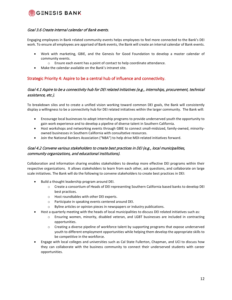

#### Goal 3.6 Create internal calendar of Bank events.

Engaging employees in Bank related community events helps employees to feel more connected to the Bank's DEI work. To ensure all employees are apprised of Bank events, the Bank will create an internal calendar of Bank events.

- Work with marketing, GBIE, and the Genesis for Good Foundation to develop a master calendar of community events.
	- o Ensure each event has a point of contact to help coordinate attendance.
- Make the calendar available on the Bank's intranet site.

### <span id="page-12-0"></span>Strategic Priority 4: Aspire to be a central hub of influence and connectivity.

### Goal 4.1 Aspire to be a connectivity hub for DEI related initiatives (e.g., internships, procurement, technical assistance, etc.).

To breakdown silos and to create a unified vision working toward common DEI goals, the Bank will consistently display a willingness to be a connectivity hub for DEI related initiatives within the larger community. The Bank will:

- Encourage local businesses to adopt internship programs to provide underserved youth the opportunity to gain work experience and to develop a pipeline of diverse talent in Southern California.
- Host workshops and networking events through GBIE to connect small-midsized, family-owned, minorityowned businesses in Southern California with consultative resources.
- Join the National Bankers Association ("NBA") to help drive MDI-related initiatives forward.

### Goal 4.2 Convene various stakeholders to create best practices in DEI (e.g., local municipalities, community organizations, and educational institutions).

Collaboration and information sharing enables stakeholders to develop more effective DEI programs within their respective organizations. It allows stakeholders to learn from each other, ask questions, and collaborate on large scale initiatives. The Bank will do the following to convene stakeholders to create best practices in DEI:

- Build a thought leadership program around DEI.
	- o Create a consortium of Heads of DEI representing Southern California based banks to develop DEI best practices.
	- o Host roundtables with other DEI experts.
	- o Participate in speaking events centered around DEI.
	- o Byline articles or opinion pieces in newspapers or industry publications.
- Host a quarterly meeting with the heads of local municipalities to discuss DEI related initiatives such as:
	- o Ensuring women, minority, disabled veteran, and LGBT businesses are included in contracting opportunities.
	- o Creating a diverse pipeline of workforce talent by supporting programs that expose underserved youth to different employment opportunities while helping them develop the appropriate skills to be competitive in the workforce.
- Engage with local colleges and universities such as Cal State Fullerton, Chapman, and UCI to discuss how they can collaborate with the business community to connect their underserved students with career opportunities.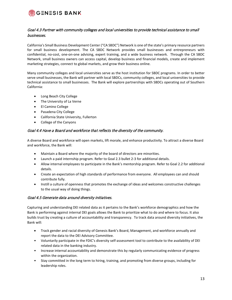

### Goal 4.3 Partner with community colleges and local universities to provide technical assistance to small businesses.

California's Small Business Development Center ("CA SBDC") Network is one of the state's primary resource partners for small business development. The CA SBDC Network provides small businesses and entrepreneurs with confidential, no-cost, one-on-one advising, expert training, and a wide business network. Through the CA SBDC Network, small business owners can access capital, develop business and financial models, create and implement marketing strategies, connect to global markets, and grow their business online.

Many community colleges and local universities serve as the host institution for SBDC programs. In order to better serve small businesses, the Bank will partner with local SBDCs, community colleges, and local universities to provide technical assistance to small businesses. The Bank will explore partnerships with SBDCs operating out of Southern California:

- Long Beach City College
- The University of La Verne
- El Camino College
- Pasadena City College
- California State University, Fullerton
- College of the Canyons

#### Goal 4.4 Have a Board and workforce that reflects the diversity of the community.

A diverse Board and workforce will open markets, lift morale, and enhance productivity. To attract a diverse Board and workforce, the Bank will:

- Maintain a Board where the majority of the board of directors are minorities.
- Launch a paid internship program. Refer to Goal 2.3 bullet 2-3 for additional details.
- Allow internal employees to participate in the Bank's mentorship program. Refer to Goal 2.2 for additional details.
- Create an expectation of high standards of performance from everyone. All employees can and should contribute fully.
- Instill a culture of openness that promotes the exchange of ideas and welcomes constructive challenges to the usual way of doing things.

#### Goal 4.5 Generate data around diversity initiatives.

Capturing and understanding DEI related data as it pertains to the Bank's workforce demographics and how the Bank is performing against internal DEI goals allows the Bank to prioritize what to do and where to focus. It also builds trust by creating a culture of accountability and transparency. To track data around diversity initiatives, the Bank will:

- Track gender and racial diversity of Genesis Bank's Board, Management, and workforce annually and report the data to the DEI Advisory Committee.
- Voluntarily participate in the FDIC's diversity self-assessment tool to contribute to the availability of DEI related data in the banking industry.
- Increase internal accountability and demonstrate this by regularly communicating evidence of progress within the organization.
- Stay committed in the long term to hiring, training, and promoting from diverse groups, including for leadership roles.